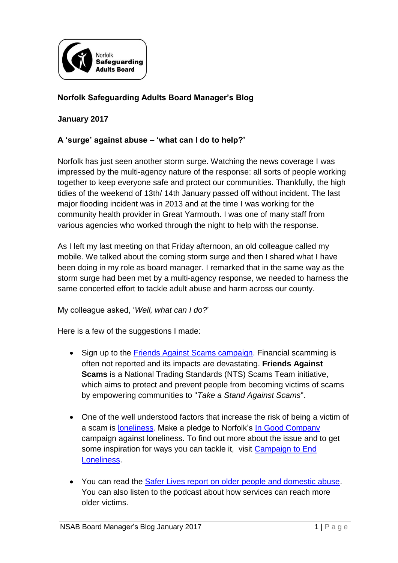

## **Norfolk Safeguarding Adults Board Manager's Blog**

## **January 2017**

## **A 'surge' against abuse – 'what can I do to help?'**

Norfolk has just seen another storm surge. Watching the news coverage I was impressed by the multi-agency nature of the response: all sorts of people working together to keep everyone safe and protect our communities. Thankfully, the high tidies of the weekend of 13th/ 14th January passed off without incident. The last major flooding incident was in 2013 and at the time I was working for the community health provider in Great Yarmouth. I was one of many staff from various agencies who worked through the night to help with the response.

As I left my last meeting on that Friday afternoon, an old colleague called my mobile. We talked about the coming storm surge and then I shared what I have been doing in my role as board manager. I remarked that in the same way as the storm surge had been met by a multi-agency response, we needed to harness the same concerted effort to tackle adult abuse and harm across our county.

My colleague asked, '*Well, what can I do?*'

Here is a few of the suggestions I made:

- Sign up to the [Friends Against Scams campaign.](https://www.friendsagainstscams.org.uk/) Financial scamming is often not reported and its impacts are devastating. **Friends Against Scams** is a National Trading Standards (NTS) Scams Team initiative, which aims to protect and prevent people from becoming victims of scams by empowering communities to "*Take a Stand Against Scams*".
- One of the well understood factors that increase the risk of being a victim of a scam is [loneliness.](http://www.ncpqsw.com/financial-scamming/) Make a pledge to Norfolk's [In Good Company](https://www.norfolk.gov.uk/what-we-do-and-how-we-work/campaigns/in-good-company) campaign against loneliness. To find out more about the issue and to get some inspiration for ways you can tackle it, visit [Campaign to End](http://www.campaigntoendloneliness.org/about-the-campaign/)  [Loneliness.](http://www.campaigntoendloneliness.org/about-the-campaign/)
- You can read the [Safer Lives report on older people and domestic abuse.](http://www.safelives.org.uk/node/861) You can also listen to the podcast about how services can reach more older victims.